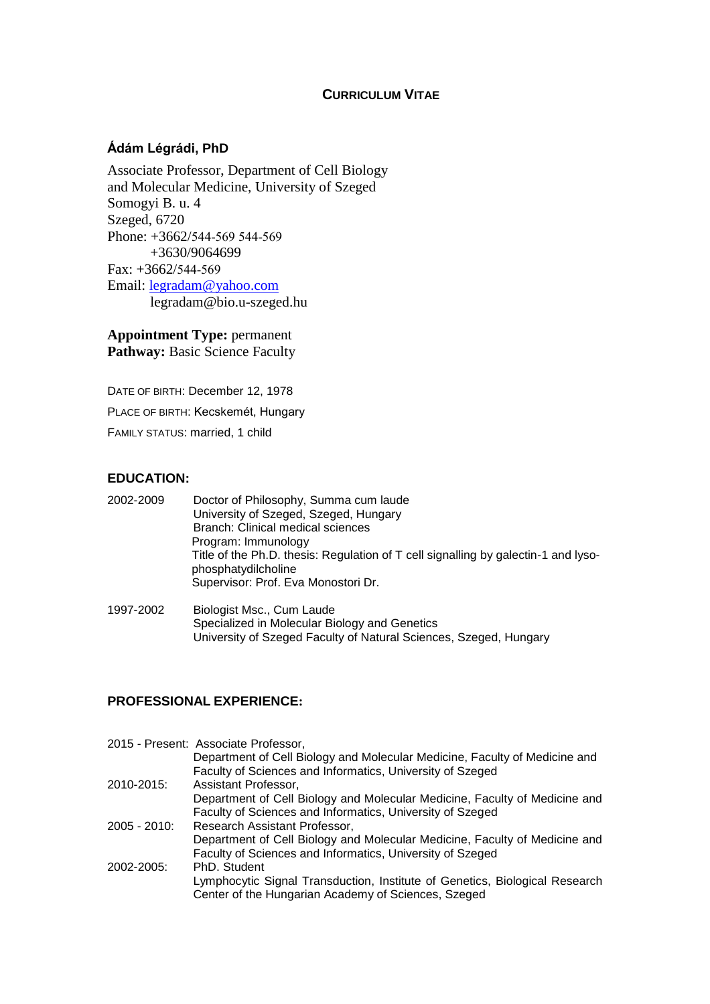## **CURRICULUM VITAE**

## **Ádám Légrádi, PhD**

Associate Professor, Department of Cell Biology and Molecular Medicine, University of Szeged Somogyi B. u. 4 Szeged, 6720 Phone: +3662/544-569 544-569 +3630/9064699 Fax: +3662/544-569 Email: [legradam@yahoo.com](mailto:legradam@yahoo.com) legradam@bio.u-szeged.hu

**Appointment Type:** permanent Pathway: Basic Science Faculty

DATE OF BIRTH: December 12, 1978 PLACE OF BIRTH: Kecskemét, Hungary FAMILY STATUS: married, 1 child

## **EDUCATION:**

| 2002-2009 | Doctor of Philosophy, Summa cum laude                                              |
|-----------|------------------------------------------------------------------------------------|
|           | University of Szeged, Szeged, Hungary                                              |
|           | Branch: Clinical medical sciences                                                  |
|           | Program: Immunology                                                                |
|           | Title of the Ph.D. thesis: Regulation of T cell signalling by galectin-1 and lyso- |
|           | phosphatydilcholine                                                                |
|           | Supervisor: Prof. Eva Monostori Dr.                                                |
|           |                                                                                    |

1997-2002 Biologist Msc., Cum Laude Specialized in Molecular Biology and Genetics University of Szeged Faculty of Natural Sciences, Szeged, Hungary

### **PROFESSIONAL EXPERIENCE:**

|               | 2015 - Present: Associate Professor,<br>Department of Cell Biology and Molecular Medicine, Faculty of Medicine and                      |
|---------------|-----------------------------------------------------------------------------------------------------------------------------------------|
| 2010-2015:    | Faculty of Sciences and Informatics, University of Szeged<br>Assistant Professor,                                                       |
|               | Department of Cell Biology and Molecular Medicine, Faculty of Medicine and<br>Faculty of Sciences and Informatics, University of Szeged |
| $2005 - 2010$ | Research Assistant Professor,<br>Department of Cell Biology and Molecular Medicine, Faculty of Medicine and                             |
| 2002-2005:    | Faculty of Sciences and Informatics, University of Szeged<br>PhD. Student                                                               |
|               | Lymphocytic Signal Transduction, Institute of Genetics, Biological Research<br>Center of the Hungarian Academy of Sciences, Szeged      |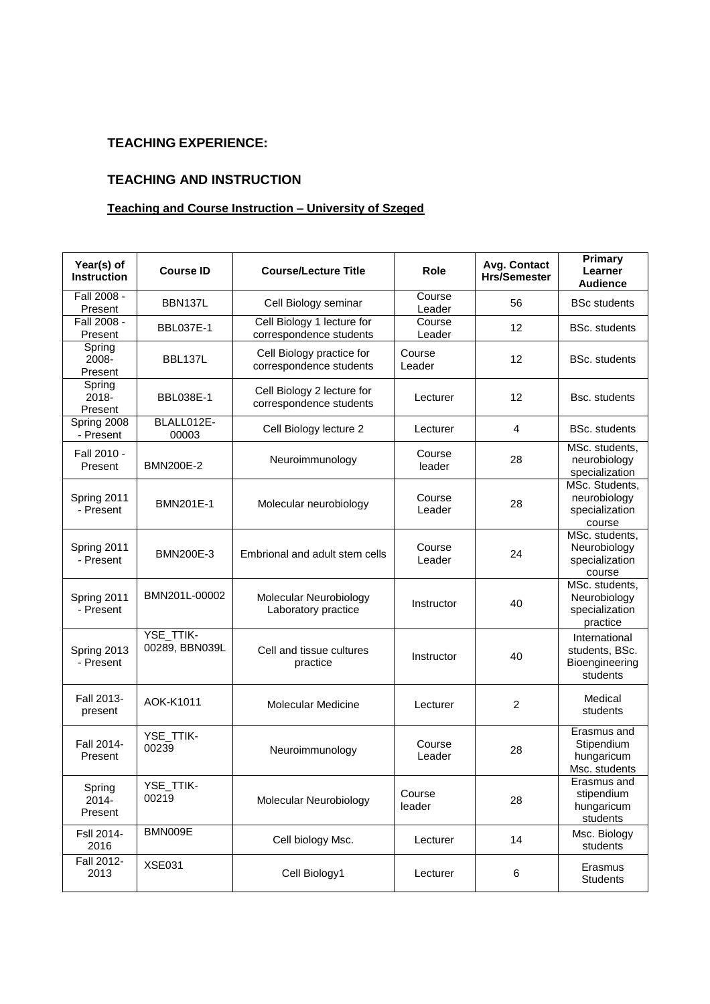# **TEACHING EXPERIENCE:**

## **TEACHING AND INSTRUCTION**

## **Teaching and Course Instruction – University of Szeged**

| Year(s) of<br><b>Instruction</b> | <b>Course ID</b>            | <b>Course/Lecture Title</b>                           | <b>Role</b>      | Avg. Contact<br><b>Hrs/Semester</b> | Primary<br>Learner<br><b>Audience</b>                         |
|----------------------------------|-----------------------------|-------------------------------------------------------|------------------|-------------------------------------|---------------------------------------------------------------|
| Fall 2008 -<br>Present           | BBN137L                     | Cell Biology seminar                                  | Course<br>Leader | 56                                  | <b>BSc students</b>                                           |
| Fall 2008 -<br>Present           | <b>BBL037E-1</b>            | Cell Biology 1 lecture for<br>correspondence students | Course<br>Leader | 12                                  | <b>BSc.</b> students                                          |
| Spring<br>2008-<br>Present       | BBL137L                     | Cell Biology practice for<br>correspondence students  | Course<br>Leader | 12                                  | <b>BSc.</b> students                                          |
| Spring<br>2018-<br>Present       | <b>BBL038E-1</b>            | Cell Biology 2 lecture for<br>correspondence students | Lecturer         | 12                                  | Bsc. students                                                 |
| Spring 2008<br>- Present         | BLALL012E-<br>00003         | Cell Biology lecture 2                                | Lecturer         | 4                                   | <b>BSc.</b> students                                          |
| Fall 2010 -<br>Present           | <b>BMN200E-2</b>            | Neuroimmunology                                       | Course<br>leader | 28                                  | MSc. students,<br>neurobiology<br>specialization              |
| Spring 2011<br>- Present         | <b>BMN201E-1</b>            | Molecular neurobiology                                | Course<br>Leader | 28                                  | MSc. Students,<br>neurobiology<br>specialization<br>course    |
| Spring 2011<br>- Present         | <b>BMN200E-3</b>            | Embrional and adult stem cells                        | Course<br>Leader | 24                                  | MSc. students,<br>Neurobiology<br>specialization<br>course    |
| Spring 2011<br>- Present         | BMN201L-00002               | Molecular Neurobiology<br>Laboratory practice         | Instructor       | 40                                  | MSc. students,<br>Neurobiology<br>specialization<br>practice  |
| Spring 2013<br>- Present         | YSE_TTIK-<br>00289, BBN039L | Cell and tissue cultures<br>practice                  | Instructor       | 40                                  | International<br>students, BSc.<br>Bioengineering<br>students |
| Fall 2013-<br>present            | AOK-K1011                   | <b>Molecular Medicine</b>                             | Lecturer         | 2                                   | Medical<br>students                                           |
| Fall 2014-<br>Present            | YSE_TTIK-<br>00239          | Neuroimmunology                                       | Course<br>Leader | 28                                  | Erasmus and<br>Stipendium<br>hungaricum<br>Msc. students      |
| Spring<br>$2014 -$<br>Present    | YSE_TTIK-<br>00219          | Molecular Neurobiology                                | Course<br>leader | 28                                  | Erasmus and<br>stipendium<br>hungaricum<br>students           |
| Fsll 2014-<br>2016               | BMN009E                     | Cell biology Msc.                                     | Lecturer         | 14                                  | Msc. Biology<br>students                                      |
| Fall 2012-<br>2013               | <b>XSE031</b>               | Cell Biology1                                         | Lecturer         | 6                                   | Erasmus<br><b>Students</b>                                    |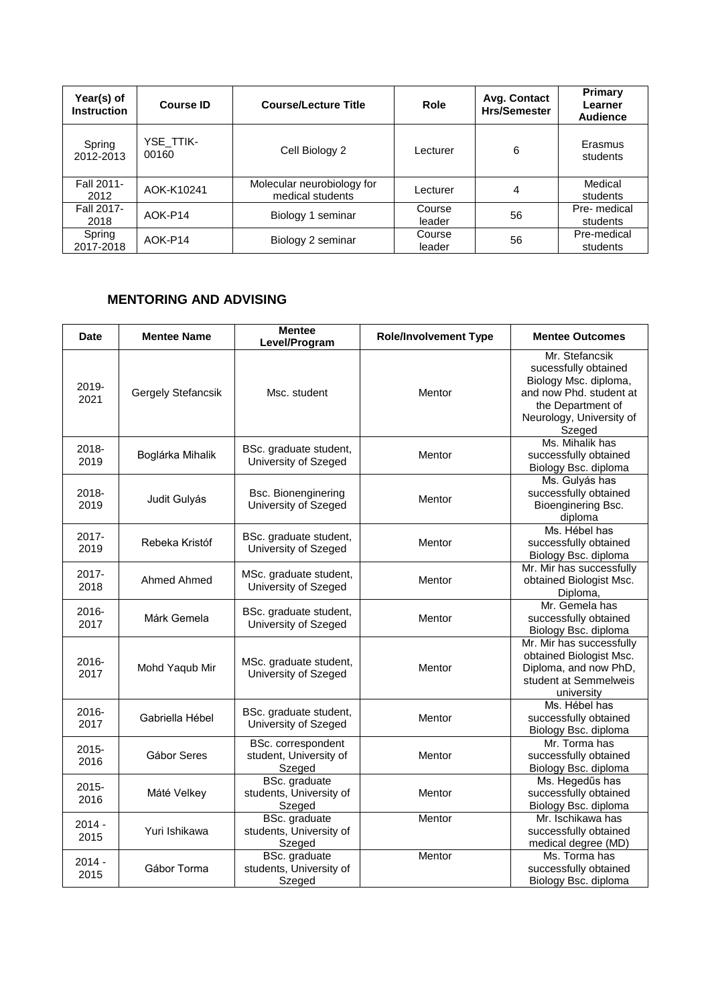| Year(s) of<br><b>Instruction</b> | <b>Course ID</b>   | <b>Course/Lecture Title</b>                    | <b>Role</b>      | Avg. Contact<br><b>Hrs/Semester</b> | <b>Primary</b><br>Learner<br><b>Audience</b> |
|----------------------------------|--------------------|------------------------------------------------|------------------|-------------------------------------|----------------------------------------------|
| Spring<br>2012-2013              | YSE TTIK-<br>00160 | Cell Biology 2                                 | Lecturer         | 6                                   | Erasmus<br>students                          |
| Fall 2011-<br>2012               | AOK-K10241         | Molecular neurobiology for<br>medical students | Lecturer         | 4                                   | Medical<br>students                          |
| Fall 2017-<br>2018               | AOK-P14            | Biology 1 seminar                              | Course<br>leader | 56                                  | Pre- medical<br>students                     |
| Spring<br>2017-2018              | AOK-P14            | Biology 2 seminar                              | Course<br>leader | 56                                  | Pre-medical<br>students                      |

## **MENTORING AND ADVISING**

| Date             | <b>Mentee Name</b> | <b>Mentee</b><br>Level/Program                         | <b>Role/Involvement Type</b> | <b>Mentee Outcomes</b>                                                                                                                                |
|------------------|--------------------|--------------------------------------------------------|------------------------------|-------------------------------------------------------------------------------------------------------------------------------------------------------|
| 2019-<br>2021    | Gergely Stefancsik | Msc. student                                           | Mentor                       | Mr. Stefancsik<br>sucessfully obtained<br>Biology Msc. diploma,<br>and now Phd. student at<br>the Department of<br>Neurology, University of<br>Szeged |
| 2018-<br>2019    | Boglárka Mihalik   | BSc. graduate student,<br>University of Szeged         | Mentor                       | Ms. Mihalik has<br>successfully obtained<br>Biology Bsc. diploma                                                                                      |
| 2018-<br>2019    | Judit Gulyás       | Bsc. Bionenginering<br>University of Szeged            | Mentor                       | Ms. Gulyás has<br>successfully obtained<br>Bioenginering Bsc.<br>diploma                                                                              |
| 2017-<br>2019    | Rebeka Kristóf     | BSc. graduate student,<br>University of Szeged         | Mentor                       | Ms. Hébel has<br>successfully obtained<br>Biology Bsc. diploma                                                                                        |
| 2017-<br>2018    | Ahmed Ahmed        | MSc. graduate student,<br>University of Szeged         | Mentor                       | Mr. Mir has successfully<br>obtained Biologist Msc.<br>Diploma,                                                                                       |
| 2016-<br>2017    | Márk Gemela        | BSc. graduate student,<br>University of Szeged         | Mentor                       | Mr. Gemela has<br>successfully obtained<br>Biology Bsc. diploma                                                                                       |
| 2016-<br>2017    | Mohd Yaqub Mir     | MSc. graduate student,<br>University of Szeged         | Mentor                       | Mr. Mir has successfully<br>obtained Biologist Msc.<br>Diploma, and now PhD,<br>student at Semmelweis<br>university                                   |
| 2016-<br>2017    | Gabriella Hébel    | BSc. graduate student,<br>University of Szeged         | Mentor                       | Ms. Hébel has<br>successfully obtained<br>Biology Bsc. diploma                                                                                        |
| 2015-<br>2016    | Gábor Seres        | BSc. correspondent<br>student, University of<br>Szeged | Mentor                       | Mr. Torma has<br>successfully obtained<br>Biology Bsc. diploma                                                                                        |
| 2015-<br>2016    | Máté Velkey        | BSc. graduate<br>students, University of<br>Szeged     | Mentor                       | Ms. Hegedűs has<br>successfully obtained<br>Biology Bsc. diploma                                                                                      |
| $2014 -$<br>2015 | Yuri Ishikawa      | BSc. graduate<br>students, University of<br>Szeged     | Mentor                       | Mr. Ischikawa has<br>successfully obtained<br>medical degree (MD)                                                                                     |
| $2014 -$<br>2015 | Gábor Torma        | BSc. graduate<br>students, University of<br>Szeged     | Mentor                       | Ms. Torma has<br>successfully obtained<br>Biology Bsc. diploma                                                                                        |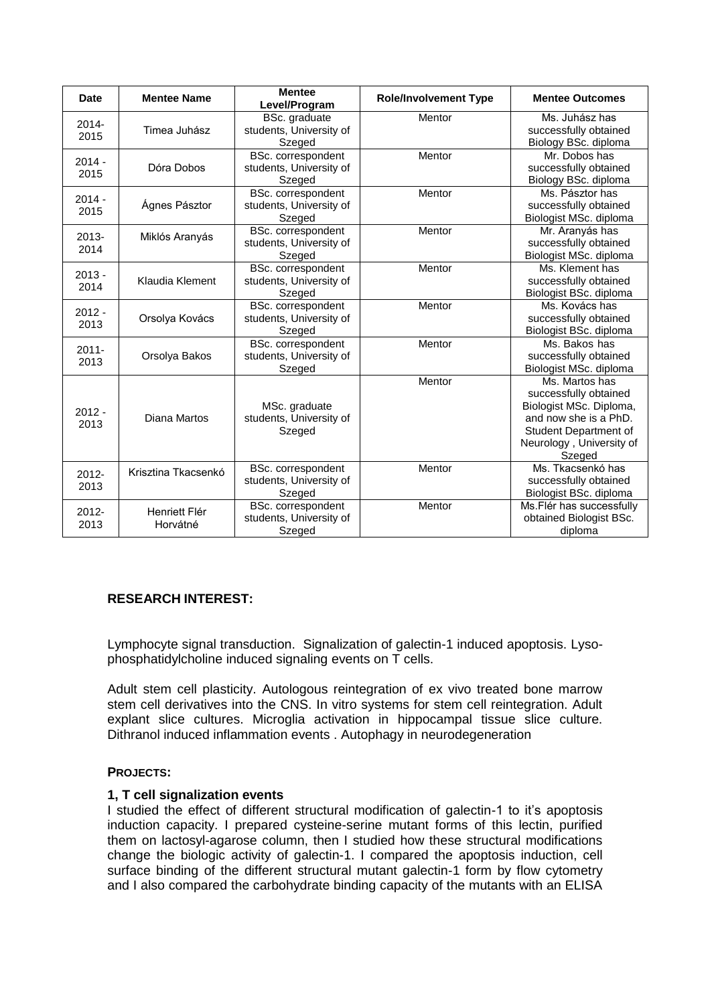| Date             | <b>Mentee Name</b>        | <b>Mentee</b><br>Level/Program                          | <b>Role/Involvement Type</b> | <b>Mentee Outcomes</b>                                                                                                                                     |
|------------------|---------------------------|---------------------------------------------------------|------------------------------|------------------------------------------------------------------------------------------------------------------------------------------------------------|
| $2014 -$<br>2015 | Timea Juhász              | BSc. graduate<br>students, University of<br>Szeged      | Mentor                       | Ms. Juhász has<br>successfully obtained<br>Biology BSc. diploma                                                                                            |
| $2014 -$<br>2015 | Dóra Dobos                | BSc. correspondent<br>students, University of<br>Szeged | Mentor                       | Mr. Dobos has<br>successfully obtained<br>Biology BSc. diploma                                                                                             |
| $2014 -$<br>2015 | Ágnes Pásztor             | BSc. correspondent<br>students, University of<br>Szeged | Mentor                       | Ms. Pásztor has<br>successfully obtained<br>Biologist MSc. diploma                                                                                         |
| $2013 -$<br>2014 | Miklós Aranyás            | BSc. correspondent<br>students, University of<br>Szeged | Mentor                       | Mr. Aranyás has<br>successfully obtained<br>Biologist MSc. diploma                                                                                         |
| $2013 -$<br>2014 | Klaudia Klement           | BSc. correspondent<br>students, University of<br>Szeged | Mentor                       | Ms. Klement has<br>successfully obtained<br>Biologist BSc. diploma                                                                                         |
| $2012 -$<br>2013 | Orsolya Kovács            | BSc. correspondent<br>students, University of<br>Szeged | Mentor                       | Ms. Kovács has<br>successfully obtained<br>Biologist BSc. diploma                                                                                          |
| $2011 -$<br>2013 | Orsolya Bakos             | BSc. correspondent<br>students, University of<br>Szeged | Mentor                       | Ms. Bakos has<br>successfully obtained<br>Biologist MSc. diploma                                                                                           |
| $2012 -$<br>2013 | Diana Martos              | MSc. graduate<br>students, University of<br>Szeged      | Mentor                       | Ms. Martos has<br>successfully obtained<br>Biologist MSc. Diploma,<br>and now she is a PhD.<br>Student Department of<br>Neurology, University of<br>Szeged |
| $2012 -$<br>2013 | Krisztina Tkacsenkó       | BSc. correspondent<br>students, University of<br>Szeged | Mentor                       | Ms. Tkacsenkó has<br>successfully obtained<br>Biologist BSc. diploma                                                                                       |
| 2012-<br>2013    | Henriett Flér<br>Horvátné | BSc. correspondent<br>students, University of<br>Szeged | Mentor                       | Ms. Flér has successfully<br>obtained Biologist BSc.<br>diploma                                                                                            |

## **RESEARCH INTEREST:**

Lymphocyte signal transduction. Signalization of galectin-1 induced apoptosis. Lysophosphatidylcholine induced signaling events on T cells.

Adult stem cell plasticity. Autologous reintegration of ex vivo treated bone marrow stem cell derivatives into the CNS. In vitro systems for stem cell reintegration. Adult explant slice cultures. Microglia activation in hippocampal tissue slice culture. Dithranol induced inflammation events . Autophagy in neurodegeneration

### **PROJECTS:**

### **1, T cell signalization events**

I studied the effect of different structural modification of galectin-1 to it's apoptosis induction capacity. I prepared cysteine-serine mutant forms of this lectin, purified them on lactosyl-agarose column, then I studied how these structural modifications change the biologic activity of galectin-1. I compared the apoptosis induction, cell surface binding of the different structural mutant galectin-1 form by flow cytometry and I also compared the carbohydrate binding capacity of the mutants with an ELISA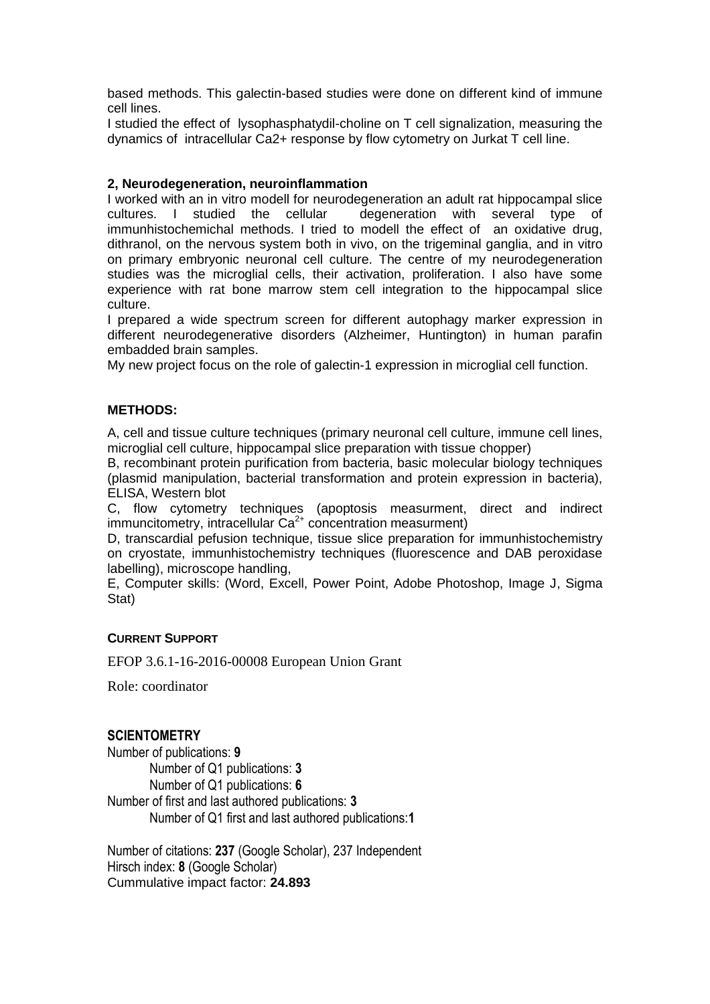based methods. This galectin-based studies were done on different kind of immune cell lines.

I studied the effect of lysophasphatydil-choline on T cell signalization, measuring the dynamics of intracellular Ca2+ response by flow cytometry on Jurkat T cell line.

#### **2, Neurodegeneration, neuroinflammation**

I worked with an in vitro modell for neurodegeneration an adult rat hippocampal slice cultures. I studied the cellular degeneration with several type of immunhistochemichal methods. I tried to modell the effect of an oxidative drug, dithranol, on the nervous system both in vivo, on the trigeminal ganglia, and in vitro on primary embryonic neuronal cell culture. The centre of my neurodegeneration studies was the microglial cells, their activation, proliferation. I also have some experience with rat bone marrow stem cell integration to the hippocampal slice culture.

I prepared a wide spectrum screen for different autophagy marker expression in different neurodegenerative disorders (Alzheimer, Huntington) in human parafin embadded brain samples.

My new project focus on the role of galectin-1 expression in microglial cell function.

#### **METHODS:**

A, cell and tissue culture techniques (primary neuronal cell culture, immune cell lines, microglial cell culture, hippocampal slice preparation with tissue chopper)

B, recombinant protein purification from bacteria, basic molecular biology techniques (plasmid manipulation, bacterial transformation and protein expression in bacteria), ELISA, Western blot

C, flow cytometry techniques (apoptosis measurment, direct and indirect immuncitometry, intracellular  $Ca^{2+}$  concentration measurment)

D, transcardial pefusion technique, tissue slice preparation for immunhistochemistry on cryostate, immunhistochemistry techniques (fluorescence and DAB peroxidase labelling), microscope handling,

E, Computer skills: (Word, Excell, Power Point, Adobe Photoshop, Image J, Sigma Stat)

#### **CURRENT SUPPORT**

EFOP 3.6.1-16-2016-00008 European Union Grant

Role: coordinator

### **SCIENTOMETRY**

Number of publications: **9** Number of Q1 publications: **3** Number of Q1 publications: **6** Number of first and last authored publications: **3** Number of Q1 first and last authored publications:**1**

Number of citations: **237** (Google Scholar), 237 Independent Hirsch index: **8** (Google Scholar) Cummulative impact factor: **24.893**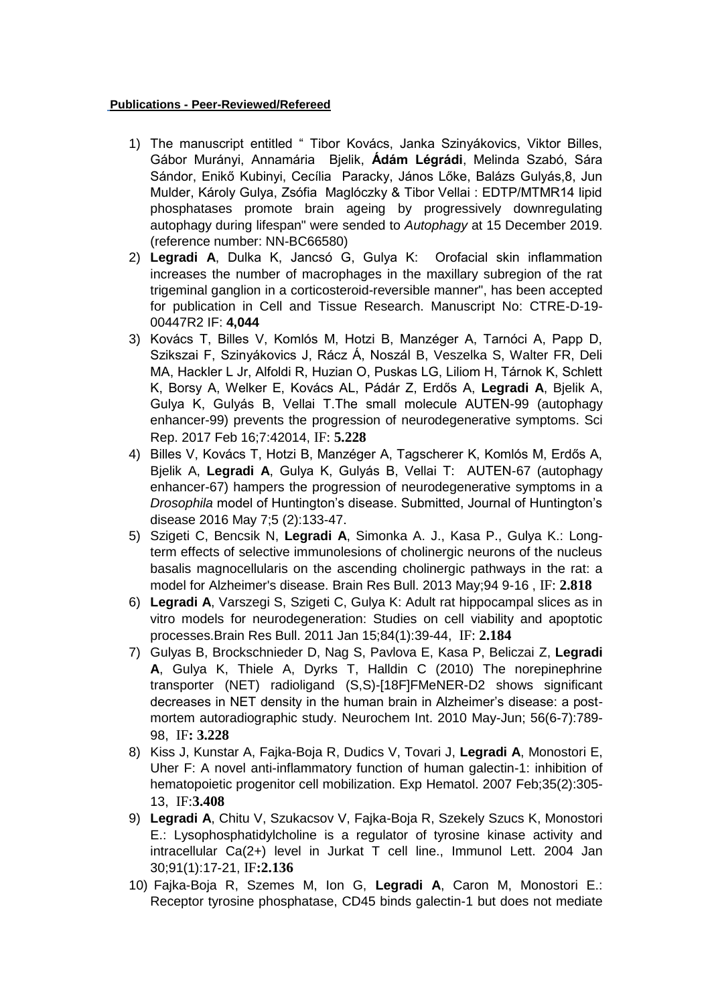#### **Publications - Peer-Reviewed/Refereed**

- 1) The manuscript entitled " Tibor Kovács, Janka Szinyákovics, Viktor Billes, Gábor Murányi, Annamária Bjelik, **Ádám Légrádi**, Melinda Szabó, Sára Sándor, Enikő Kubinyi, Cecília Paracky, János Lőke, Balázs Gulyás,8, Jun Mulder, Károly Gulya, Zsófia Maglóczky & Tibor Vellai : EDTP/MTMR14 lipid phosphatases promote brain ageing by progressively downregulating autophagy during lifespan" were sended to *Autophagy* at 15 December 2019. (reference number: NN-BC66580)
- 2) **Legradi A**, Dulka K, Jancsó G, Gulya K: Orofacial skin inflammation increases the number of macrophages in the maxillary subregion of the rat trigeminal ganglion in a corticosteroid-reversible manner", has been accepted for publication in Cell and Tissue Research. Manuscript No: CTRE-D-19- 00447R2 IF: **4,044**
- 3) Kovács T, Billes V, Komlós M, Hotzi B, Manzéger A, Tarnóci A, Papp D, Szikszai F, Szinyákovics J, Rácz Á, Noszál B, Veszelka S, Walter FR, Deli MA, Hackler L Jr, Alfoldi R, Huzian O, Puskas LG, Liliom H, Tárnok K, Schlett K, Borsy A, Welker E, Kovács AL, Pádár Z, Erdős A, **Legradi A**, Bjelik A, Gulya K, Gulyás B, Vellai T.The small molecule AUTEN-99 (autophagy enhancer-99) prevents the progression of neurodegenerative symptoms. Sci Rep. 2017 Feb 16;7:42014, IF: **5.228**
- 4) Billes V, Kovács T, Hotzi B, Manzéger A, Tagscherer K, Komlós M, Erdős A, Bjelik A, **Legradi A**, Gulya K, Gulyás B, Vellai T: AUTEN-67 (autophagy enhancer-67) hampers the progression of neurodegenerative symptoms in a *Drosophila* model of Huntington's disease. Submitted, Journal of Huntington's disease 2016 May 7;5 (2):133-47.
- 5) Szigeti C, Bencsik N, **Legradi A**, Simonka A. J., Kasa P., Gulya K.: Longterm effects of selective immunolesions of cholinergic neurons of the nucleus basalis magnocellularis on the ascending cholinergic pathways in the rat: a model for Alzheimer's disease. Brain Res Bull. 2013 May;94 9-16 , IF: **2.818**
- 6) **Legradi A**, Varszegi S, Szigeti C, Gulya K: Adult rat hippocampal slices as in vitro models for neurodegeneration: Studies on cell viability and apoptotic processes.Brain Res Bull. 2011 Jan 15;84(1):39-44, IF: **2.184**
- 7) Gulyas B, Brockschnieder D, Nag S, Pavlova E, Kasa P, Beliczai Z, **Legradi A**, Gulya K, Thiele A, Dyrks T, Halldin C (2010) The norepinephrine transporter (NET) radioligand (S,S)-[18F]FMeNER-D2 shows significant decreases in NET density in the human brain in Alzheimer's disease: a postmortem autoradiographic study. Neurochem Int. 2010 May-Jun; 56(6-7):789- 98, IF**: 3.228**
- 8) Kiss J, Kunstar A, Fajka-Boja R, Dudics V, Tovari J, **Legradi A**, Monostori E, Uher F: A novel anti-inflammatory function of human galectin-1: inhibition of hematopoietic progenitor cell mobilization. Exp Hematol. 2007 Feb;35(2):305- 13, IF:**3.408**
- 9) **Legradi A**, Chitu V, Szukacsov V, Fajka-Boja R, Szekely Szucs K, Monostori E.: Lysophosphatidylcholine is a regulator of tyrosine kinase activity and intracellular Ca(2+) level in Jurkat T cell line., Immunol Lett. 2004 Jan 30;91(1):17-21, IF**:2.136**
- 10) Fajka-Boja R, Szemes M, Ion G, **Legradi A**, Caron M, Monostori E.: Receptor tyrosine phosphatase, CD45 binds galectin-1 but does not mediate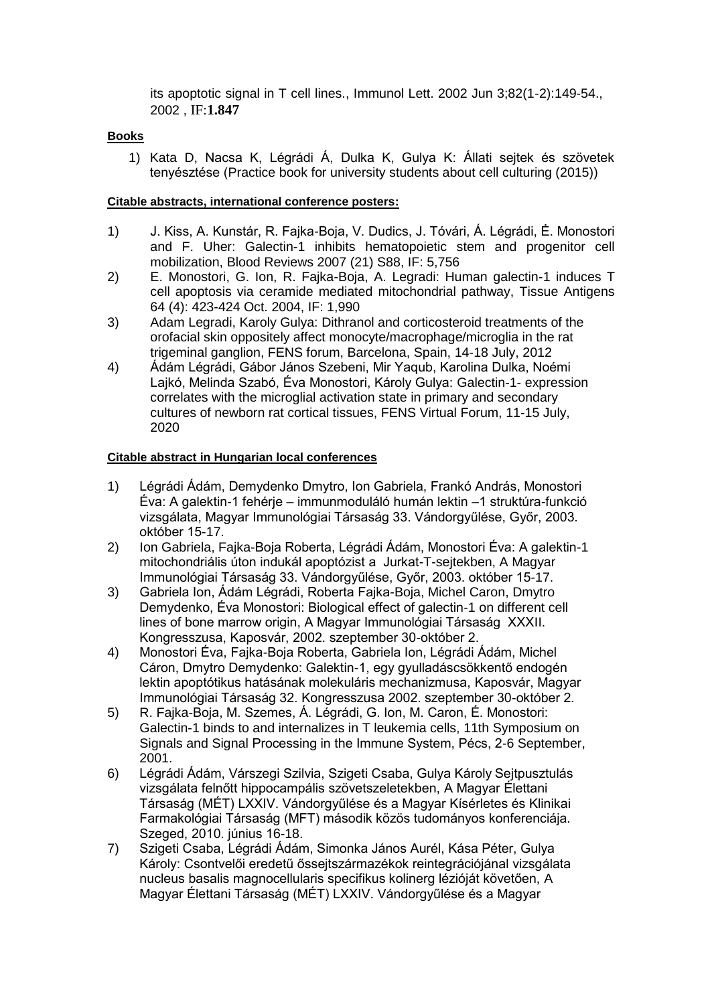its apoptotic signal in T cell lines., Immunol Lett. 2002 Jun 3;82(1-2):149-54., 2002 , IF:**1.847**

#### **Books**

1) Kata D, Nacsa K, Légrádi Á, Dulka K, Gulya K: Állati sejtek és szövetek tenyésztése (Practice book for university students about cell culturing (2015))

#### **Citable abstracts, international conference posters:**

- 1) J. Kiss, A. Kunstár, R. Fajka-Boja, V. Dudics, J. Tóvári, Á. Légrádi, Ė. Monostori and F. Uher: Galectin-1 inhibits hematopoietic stem and progenitor cell mobilization, Blood Reviews 2007 (21) S88, IF: 5,756
- 2) E. Monostori, G. Ion, R. Fajka-Boja, A. Legradi: Human galectin-1 induces T cell apoptosis via ceramide mediated mitochondrial pathway, Tissue Antigens 64 (4): 423-424 Oct. 2004, IF: 1,990
- 3) Adam Legradi, Karoly Gulya: Dithranol and corticosteroid treatments of the orofacial skin oppositely affect monocyte/macrophage/microglia in the rat trigeminal ganglion, FENS forum, Barcelona, Spain, 14-18 July, 2012
- 4) Ádám Légrádi, Gábor János Szebeni, Mir Yaqub, Karolina Dulka, Noémi Lajkó, Melinda Szabó, Éva Monostori, Károly Gulya: Galectin-1- expression correlates with the microglial activation state in primary and secondary cultures of newborn rat cortical tissues, FENS Virtual Forum, 11-15 July, 2020

#### **Citable abstract in Hungarian local conferences**

- 1) Légrádi Ádám, Demydenko Dmytro, Ion Gabriela, Frankó András, Monostori Éva: A galektin-1 fehérje – immunmoduláló humán lektin –1 struktúra-funkció vizsgálata, Magyar Immunológiai Társaság 33. Vándorgyűlése, Győr, 2003. október 15-17.
- 2) Ion Gabriela, Fajka-Boja Roberta, Légrádi Ádám, Monostori Éva: A galektin-1 mitochondriális úton indukál apoptózist a Jurkat-T-sejtekben, A Magyar Immunológiai Társaság 33. Vándorgyűlése, Győr, 2003. október 15-17.
- 3) Gabriela Ion, Ádám Légrádi, Roberta Fajka-Boja, Michel Caron, Dmytro Demydenko, Éva Monostori: Biological effect of galectin-1 on different cell lines of bone marrow origin, A Magyar Immunológiai Társaság XXXII. Kongresszusa, Kaposvár, 2002. szeptember 30-október 2.
- 4) Monostori Éva, Fajka-Boja Roberta, Gabriela Ion, Légrádi Ádám, Michel Cáron, Dmytro Demydenko: Galektin-1, egy gyulladáscsökkentő endogén lektin apoptótikus hatásának molekuláris mechanizmusa, Kaposvár, Magyar Immunológiai Társaság 32. Kongresszusa 2002. szeptember 30-október 2.
- 5) R. Fajka-Boja, M. Szemes, Á. Légrádi, G. Ion, M. Caron, É. Monostori: Galectin-1 binds to and internalizes in T leukemia cells, 11th Symposium on Signals and Signal Processing in the Immune System, Pécs, 2-6 September, 2001.
- 6) Légrádi Ádám, Várszegi Szilvia, Szigeti Csaba, Gulya Károly Sejtpusztulás vizsgálata felnőtt hippocampális szövetszeletekben, A Magyar Élettani Társaság (MÉT) LXXIV. Vándorgyűlése és a Magyar Kísérletes és Klinikai Farmakológiai Társaság (MFT) második közös tudományos konferenciája. Szeged, 2010. június 16-18.
- 7) Szigeti Csaba, Légrádi Ádám, Simonka János Aurél, Kása Péter, Gulya Károly: Csontvelői eredetű őssejtszármazékok reintegrációjánal vizsgálata nucleus basalis magnocellularis specifikus kolinerg lézióját követően, A Magyar Élettani Társaság (MÉT) LXXIV. Vándorgyűlése és a Magyar